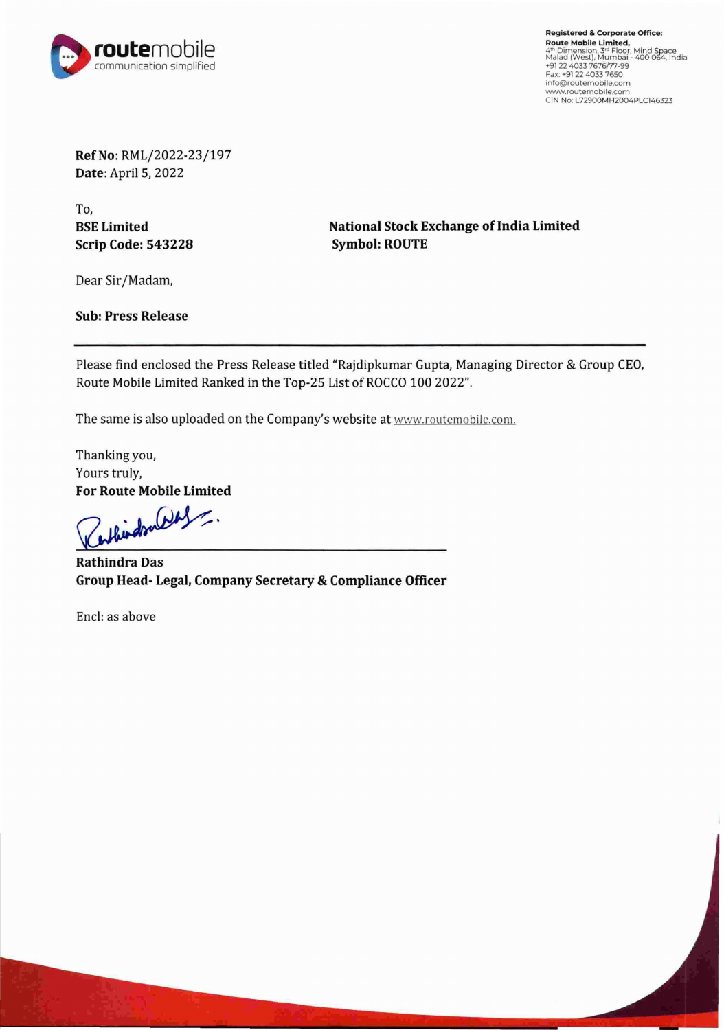

**Registered** & **Corporate Office: Route Mobile Limited,<br><sup>41</sup><sup>m</sup> Dimension, 3<sup>34</sup> Floor, Mind Space<br><sup>Malad</sup> (West), Mumbai - 400 064, India<br>+91 22 4033 7676/77-99<br>Fax: +91 22 4033 7650** info@routemoblle.com www.routemobile.com CIN No: L72900MH2004PLC146323

**Ref No:** RML/2022-23/197 **Date:** April 5, 2022

To, **BSE Limited Scrip Code: 543228** 

**National Stock Exchange of India Limited Symbol: ROUTE** 

Dear Sir/Madam,

**Sub: Press Release** 

Please find enclosed the Press Release titled "Rajdipkumar Gupta, Managing Director & Group CEO, Route Mobile Limited Ranked in the Top-25 List of ROCCO 100 2022".

The same is also uploaded on the Company's website at www.routemobile.com.

Thanking you, Yours truly,

For Route Mobile Limited<br> **Cathington** 

**Rathindra Das Group Head- Legal, Company Secretary & Compliance Officer** 

Encl: as above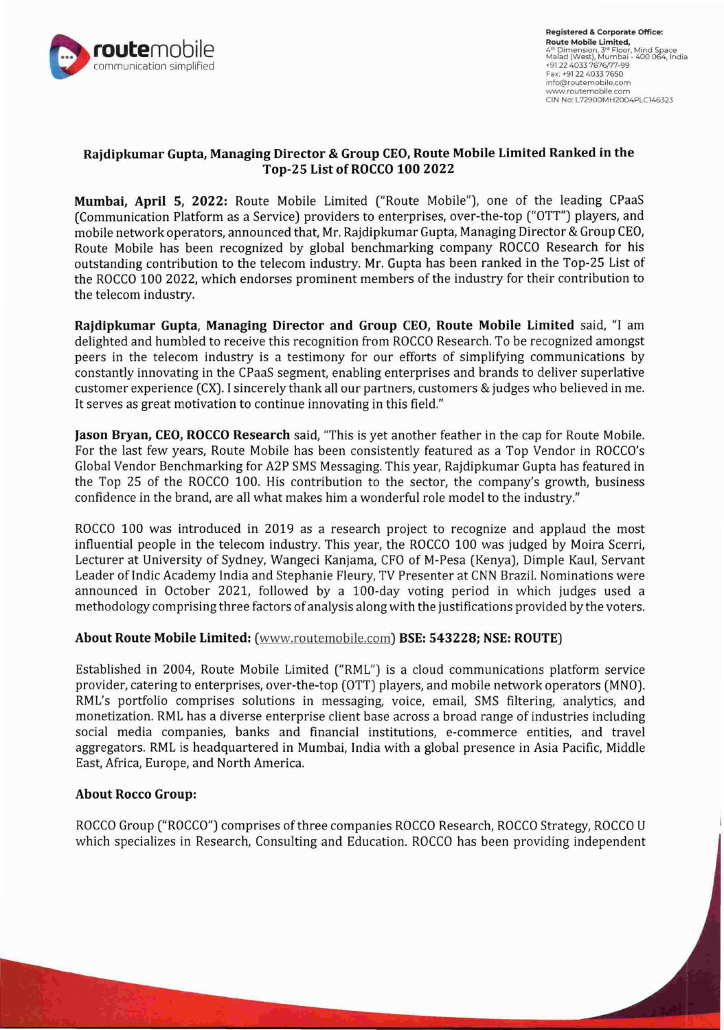

# **Rajdipkumar Gupta, Managing Director & Group CEO, Route Mobile Limited Ranked in the Top-25 List of ROCCO 100 2022**

**Mumbai, April 5, 2022:** Route Mobile Limited ("Route Mobile"), one of the leading CPaaS (Communication Platform as a Service) providers to enterprises, over-the-top ("OTT") players, and mobile network operators, announced that, Mr. Rajdipkumar Gupta, Managing Director & Group CEO, Route Mobile has been recognized by global benchmarking company ROCCO Research for his outstanding contribution to the telecom industry. Mr. Gupta has been ranked in the Top-25 List of the ROCCO 100 2022, which endorses prominent members of the industry for their contribution to the telecom industry.

**Rajdipkumar Gupta, Managing Director and Group CEO, Route Mobile Limited** said, "I am delighted and humbled to receive this recognition from ROCCO Research. To be recognized amongst peers in the telecom industry is a testimony for our efforts of simplifying communications by constantly innovating in the CPaaS segment, enabling enterprises and brands to deliver superlative customer experience (CX). I sincerely thank all our partners, customers & judges who believed in me. It serves as great motivation to continue innovating in this field."

**Jason Bryan, CEO, ROCCO Research** said, "This is yet another feather in the cap for Route Mobile. For the last few years, Route Mobile has been consistently featured as a Top Vendor in ROCCO's Global Vendor Benchmarking for A2P SMS Messaging. This year, Rajdipkumar Gupta has featured in the Top 25 of the ROCCO 100. His contribution to the sector, the company's growth, business confidence in the brand, are all what makes him a wonderful role model to the industry."

ROCCO 100 was introduced in 2019 as a research project to recognize and applaud the most influential people in the telecom industry. This year, the ROCCO 100 was judged by Moira Scerri, Lecturer at University of Sydney, Wangeci Kanjama, CFO of M-Pesa (Kenya), Dimple Kaul, Servant Leader of Indic Academy India and Stephanie Fleury, TV Presenter at CNN Brazil. Nominations were announced in October 2021, followed by a 100-day voting period in which judges used a methodology comprising three factors of analysis along with the justifications provided by the voters.

# **About Route Mobile Limited:** (www.routemobile.com) **BSE: 543228; NSE: ROUTE)**

Established in 2004, Route Mobile Limited ("RML") is a cloud communications platform service provider, catering to enterprises, over-the-top (OTT) players, and mobile network operators (MNO). RML's portfolio comprises solutions in messaging, voice, email, SMS filtering, analytics, and monetization. RML has a diverse enterprise client base across a broad range of industries including social media companies, banks and financial institutions, e-commerce entities, and travel aggregators. RML is headquartered in Mumbai, India with a global presence in Asia Pacific, Middle East, Africa, Europe, and North America.

#### **About Rocco Group:**

ROCCO Group ("ROCCO") comprises of three companies ROCCO Research, ROCCO Strategy, ROCCO U which specializes in Research, Consulting and Education. ROCCO has been providing independent